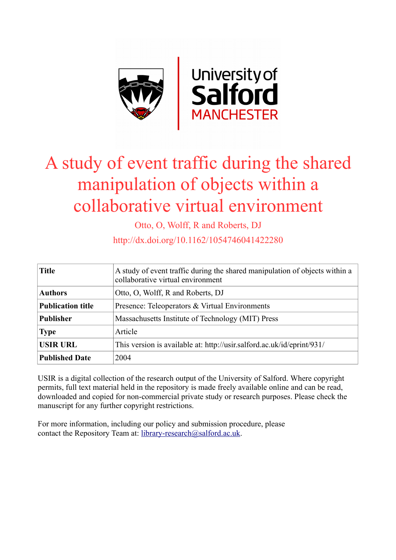

# A study of event traffic during the shared manipulation of objects within a collaborative virtual environment

Otto, O, Wolff, R and Roberts, DJ

http://dx.doi.org/10.1162/1054746041422280

| <b>Title</b>             | A study of event traffic during the shared manipulation of objects within a<br>collaborative virtual environment |  |  |  |
|--------------------------|------------------------------------------------------------------------------------------------------------------|--|--|--|
| <b>Authors</b>           | Otto, O, Wolff, R and Roberts, DJ                                                                                |  |  |  |
| <b>Publication title</b> | Presence: Teleoperators & Virtual Environments                                                                   |  |  |  |
| <b>Publisher</b>         | Massachusetts Institute of Technology (MIT) Press                                                                |  |  |  |
| <b>Type</b>              | Article                                                                                                          |  |  |  |
| <b>USIR URL</b>          | This version is available at: http://usir.salford.ac.uk/id/eprint/931/                                           |  |  |  |
| <b>Published Date</b>    | 2004                                                                                                             |  |  |  |

USIR is a digital collection of the research output of the University of Salford. Where copyright permits, full text material held in the repository is made freely available online and can be read, downloaded and copied for non-commercial private study or research purposes. Please check the manuscript for any further copyright restrictions.

For more information, including our policy and submission procedure, please contact the Repository Team at: [library-research@salford.ac.uk.](mailto:library-research@salford.ac.uk)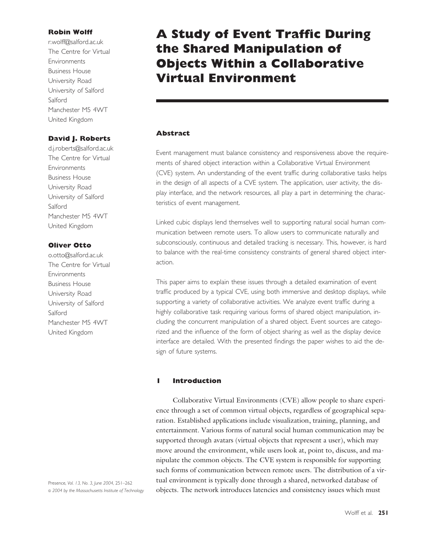# **Robin Wolff**

r.wolff@salford.ac.uk The Centre for Virtual **Environments** Business House University Road University of Salford Salford Manchester M5 4WT United Kingdom

# **David J. Roberts**

d.j.roberts@salford.ac.uk The Centre for Virtual **Environments** Business House University Road University of Salford Salford Manchester M5 4WT United Kingdom

# **Oliver Otto**

o.otto@salford.ac.uk The Centre for Virtual **Environments** Business House University Road University of Salford Salford Manchester M5 4WT United Kingdom

Presence, *Vol. 13, No. 3, June 2004,* 251–262 © *2004 by the Massachusetts Institute of Technology*

# **A Study of Event Traffic During the Shared Manipulation of Objects Within a Collaborative Virtual Environment**

# **Abstract**

Event management must balance consistency and responsiveness above the requirements of shared object interaction within a Collaborative Virtual Environment (CVE) system. An understanding of the event traffic during collaborative tasks helps in the design of all aspects of a CVE system. The application, user activity, the display interface, and the network resources, all play a part in determining the characteristics of event management.

Linked cubic displays lend themselves well to supporting natural social human communication between remote users. To allow users to communicate naturally and subconsciously, continuous and detailed tracking is necessary. This, however, is hard to balance with the real-time consistency constraints of general shared object interaction.

This paper aims to explain these issues through a detailed examination of event traffic produced by a typical CVE, using both immersive and desktop displays, while supporting a variety of collaborative activities. We analyze event traffic during a highly collaborative task requiring various forms of shared object manipulation, including the concurrent manipulation of a shared object. Event sources are categorized and the influence of the form of object sharing as well as the display device interface are detailed. With the presented findings the paper wishes to aid the design of future systems.

# **1 Introduction**

Collaborative Virtual Environments (CVE) allow people to share experience through a set of common virtual objects, regardless of geographical separation. Established applications include visualization, training, planning, and entertainment. Various forms of natural social human communication may be supported through avatars (virtual objects that represent a user), which may move around the environment, while users look at, point to, discuss, and manipulate the common objects. The CVE system is responsible for supporting such forms of communication between remote users. The distribution of a virtual environment is typically done through a shared, networked database of objects. The network introduces latencies and consistency issues which must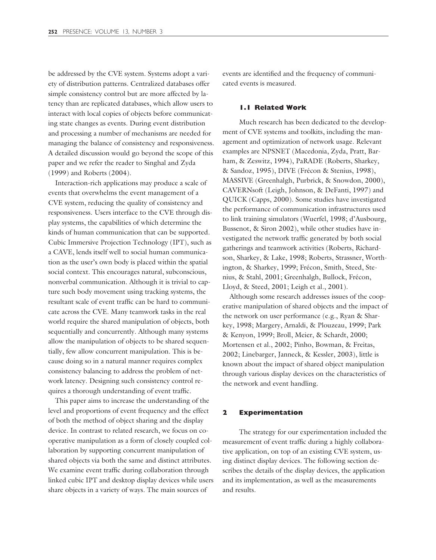be addressed by the CVE system. Systems adopt a variety of distribution patterns. Centralized databases offer simple consistency control but are more affected by latency than are replicated databases, which allow users to interact with local copies of objects before communicating state changes as events. During event distribution and processing a number of mechanisms are needed for managing the balance of consistency and responsiveness. A detailed discussion would go beyond the scope of this paper and we refer the reader to Singhal and Zyda (1999) and Roberts (2004).

Interaction-rich applications may produce a scale of events that overwhelms the event management of a CVE system, reducing the quality of consistency and responsiveness. Users interface to the CVE through display systems, the capabilities of which determine the kinds of human communication that can be supported. Cubic Immersive Projection Technology (IPT), such as a CAVE, lends itself well to social human communication as the user's own body is placed within the spatial social context. This encourages natural, subconscious, nonverbal communication. Although it is trivial to capture such body movement using tracking systems, the resultant scale of event traffic can be hard to communicate across the CVE. Many teamwork tasks in the real world require the shared manipulation of objects, both sequentially and concurrently. Although many systems allow the manipulation of objects to be shared sequentially, few allow concurrent manipulation. This is because doing so in a natural manner requires complex consistency balancing to address the problem of network latency. Designing such consistency control requires a thorough understanding of event traffic.

This paper aims to increase the understanding of the level and proportions of event frequency and the effect of both the method of object sharing and the display device. In contrast to related research, we focus on cooperative manipulation as a form of closely coupled collaboration by supporting concurrent manipulation of shared objects via both the same and distinct attributes. We examine event traffic during collaboration through linked cubic IPT and desktop display devices while users share objects in a variety of ways. The main sources of

events are identified and the frequency of communicated events is measured.

# **1.1 Related Work**

Much research has been dedicated to the development of CVE systems and toolkits, including the management and optimization of network usage. Relevant examples are NPSNET (Macedonia, Zyda, Pratt, Barham, & Zeswitz, 1994), PaRADE (Roberts, Sharkey, & Sandoz, 1995), DIVE (Frécon & Stenius, 1998), MASSIVE (Greenhalgh, Purbrick, & Snowdon, 2000), CAVERNsoft (Leigh, Johnson, & DeFanti, 1997) and QUICK (Capps, 2000). Some studies have investigated the performance of communication infrastructures used to link training simulators (Wuerfel, 1998; d'Ausbourg, Bussenot, & Siron 2002), while other studies have investigated the network traffic generated by both social gatherings and teamwork activities (Roberts, Richardson, Sharkey, & Lake, 1998; Roberts, Strassner, Worthington, & Sharkey, 1999; Frécon, Smith, Steed, Stenius, & Stahl, 2001; Greenhalgh, Bullock, Frécon, Lloyd, & Steed, 2001; Leigh et al., 2001).

Although some research addresses issues of the cooperative manipulation of shared objects and the impact of the network on user performance (e.g., Ryan & Sharkey, 1998; Margery, Arnaldi, & Plouzeau, 1999; Park & Kenyon, 1999; Broll, Meier, & Schardt, 2000; Mortensen et al., 2002; Pinho, Bowman, & Freitas, 2002; Linebarger, Janneck, & Kessler, 2003), little is known about the impact of shared object manipulation through various display devices on the characteristics of the network and event handling.

#### **2 Experimentation**

The strategy for our experimentation included the measurement of event traffic during a highly collaborative application, on top of an existing CVE system, using distinct display devices. The following section describes the details of the display devices, the application and its implementation, as well as the measurements and results.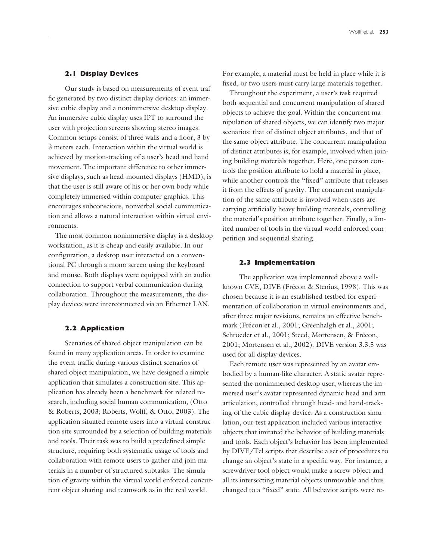#### **2.1 Display Devices**

Our study is based on measurements of event traffic generated by two distinct display devices: an immersive cubic display and a nonimmersive desktop display. An immersive cubic display uses IPT to surround the user with projection screens showing stereo images. Common setups consist of three walls and a floor, 3 by 3 meters each. Interaction within the virtual world is achieved by motion-tracking of a user's head and hand movement. The important difference to other immersive displays, such as head-mounted displays (HMD), is that the user is still aware of his or her own body while completely immersed within computer graphics. This encourages subconscious, nonverbal social communication and allows a natural interaction within virtual environments.

The most common nonimmersive display is a desktop workstation, as it is cheap and easily available. In our configuration, a desktop user interacted on a conventional PC through a mono screen using the keyboard and mouse. Both displays were equipped with an audio connection to support verbal communication during collaboration. Throughout the measurements, the display devices were interconnected via an Ethernet LAN.

## **2.2 Application**

Scenarios of shared object manipulation can be found in many application areas. In order to examine the event traffic during various distinct scenarios of shared object manipulation, we have designed a simple application that simulates a construction site. This application has already been a benchmark for related research, including social human communication, (Otto & Roberts, 2003; Roberts, Wolff, & Otto, 2003). The application situated remote users into a virtual construction site surrounded by a selection of building materials and tools. Their task was to build a predefined simple structure, requiring both systematic usage of tools and collaboration with remote users to gather and join materials in a number of structured subtasks. The simulation of gravity within the virtual world enforced concurrent object sharing and teamwork as in the real world.

For example, a material must be held in place while it is fixed, or two users must carry large materials together.

Throughout the experiment, a user's task required both sequential and concurrent manipulation of shared objects to achieve the goal. Within the concurrent manipulation of shared objects, we can identify two major scenarios: that of distinct object attributes, and that of the same object attribute. The concurrent manipulation of distinct attributes is, for example, involved when joining building materials together. Here, one person controls the position attribute to hold a material in place, while another controls the "fixed" attribute that releases it from the effects of gravity. The concurrent manipulation of the same attribute is involved when users are carrying artificially heavy building materials, controlling the material's position attribute together. Finally, a limited number of tools in the virtual world enforced competition and sequential sharing.

#### **2.3 Implementation**

The application was implemented above a wellknown CVE, DIVE (Frécon & Stenius, 1998). This was chosen because it is an established testbed for experimentation of collaboration in virtual environments and, after three major revisions, remains an effective benchmark (Frécon et al., 2001; Greenhalgh et al., 2001; Schroeder et al., 2001; Steed, Mortensen, & Frécon, 2001; Mortensen et al., 2002). DIVE version 3.3.5 was used for all display devices.

Each remote user was represented by an avatar embodied by a human-like character. A static avatar represented the nonimmersed desktop user, whereas the immersed user's avatar represented dynamic head and arm articulation, controlled through head- and hand-tracking of the cubic display device. As a construction simulation, our test application included various interactive objects that imitated the behavior of building materials and tools. Each object's behavior has been implemented by DIVE/Tcl scripts that describe a set of procedures to change an object's state in a specific way. For instance, a screwdriver tool object would make a screw object and all its intersecting material objects unmovable and thus changed to a "fixed" state. All behavior scripts were re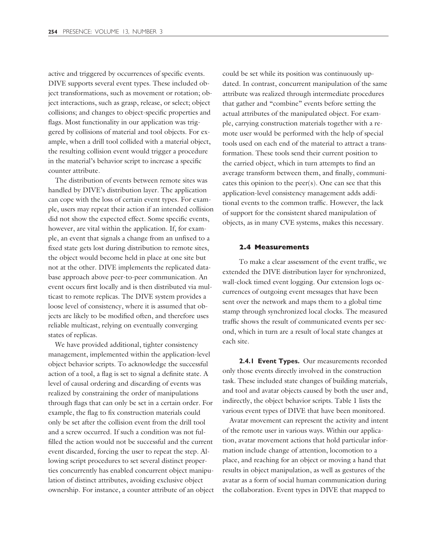active and triggered by occurrences of specific events. DIVE supports several event types. These included object transformations, such as movement or rotation; object interactions, such as grasp, release, or select; object collisions; and changes to object-specific properties and flags. Most functionality in our application was triggered by collisions of material and tool objects. For example, when a drill tool collided with a material object, the resulting collision event would trigger a procedure in the material's behavior script to increase a specific counter attribute.

The distribution of events between remote sites was handled by DIVE's distribution layer. The application can cope with the loss of certain event types. For example, users may repeat their action if an intended collision did not show the expected effect. Some specific events, however, are vital within the application. If, for example, an event that signals a change from an unfixed to a fixed state gets lost during distribution to remote sites, the object would become held in place at one site but not at the other. DIVE implements the replicated database approach above peer-to-peer communication. An event occurs first locally and is then distributed via multicast to remote replicas. The DIVE system provides a loose level of consistency, where it is assumed that objects are likely to be modified often, and therefore uses reliable multicast, relying on eventually converging states of replicas.

We have provided additional, tighter consistency management, implemented within the application-level object behavior scripts. To acknowledge the successful action of a tool, a flag is set to signal a definite state. A level of causal ordering and discarding of events was realized by constraining the order of manipulations through flags that can only be set in a certain order. For example, the flag to fix construction materials could only be set after the collision event from the drill tool and a screw occurred. If such a condition was not fulfilled the action would not be successful and the current event discarded, forcing the user to repeat the step. Allowing script procedures to set several distinct properties concurrently has enabled concurrent object manipulation of distinct attributes, avoiding exclusive object ownership. For instance, a counter attribute of an object could be set while its position was continuously updated. In contrast, concurrent manipulation of the same attribute was realized through intermediate procedures that gather and "combine" events before setting the actual attributes of the manipulated object. For example, carrying construction materials together with a remote user would be performed with the help of special tools used on each end of the material to attract a transformation. These tools send their current position to the carried object, which in turn attempts to find an average transform between them, and finally, communicates this opinion to the peer(s). One can see that this application-level consistency management adds additional events to the common traffic. However, the lack of support for the consistent shared manipulation of objects, as in many CVE systems, makes this necessary.

#### **2.4 Measurements**

To make a clear assessment of the event traffic, we extended the DIVE distribution layer for synchronized, wall-clock timed event logging. Our extension logs occurrences of outgoing event messages that have been sent over the network and maps them to a global time stamp through synchronized local clocks. The measured traffic shows the result of communicated events per second, which in turn are a result of local state changes at each site.

**2.4.1 Event Types.** Our measurements recorded only those events directly involved in the construction task. These included state changes of building materials, and tool and avatar objects caused by both the user and, indirectly, the object behavior scripts. Table 1 lists the various event types of DIVE that have been monitored.

Avatar movement can represent the activity and intent of the remote user in various ways. Within our application, avatar movement actions that hold particular information include change of attention, locomotion to a place, and reaching for an object or moving a hand that results in object manipulation, as well as gestures of the avatar as a form of social human communication during the collaboration. Event types in DIVE that mapped to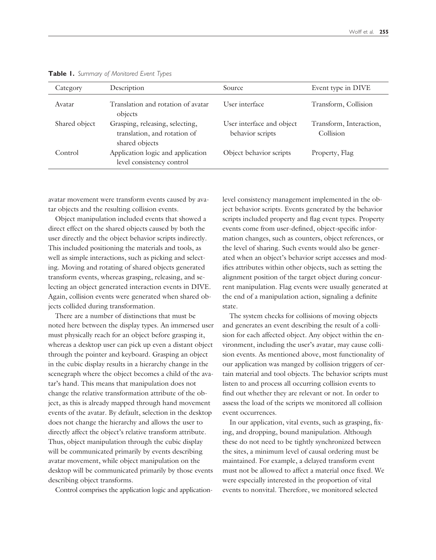| Category      | Description                                                                       | Source.                                       | Event type in DIVE                   |
|---------------|-----------------------------------------------------------------------------------|-----------------------------------------------|--------------------------------------|
| Avatar        | Translation and rotation of avatar<br>objects                                     | User interface                                | Transform, Collision                 |
| Shared object | Grasping, releasing, selecting,<br>translation, and rotation of<br>shared objects | User interface and object<br>behavior scripts | Transform, Interaction,<br>Collision |
| Control       | Application logic and application<br>level consistency control                    | Object behavior scripts                       | Property, Flag                       |

**Table 1.** *Summary of Monitored Event Types*

avatar movement were transform events caused by avatar objects and the resulting collision events.

Object manipulation included events that showed a direct effect on the shared objects caused by both the user directly and the object behavior scripts indirectly. This included positioning the materials and tools, as well as simple interactions, such as picking and selecting. Moving and rotating of shared objects generated transform events, whereas grasping, releasing, and selecting an object generated interaction events in DIVE. Again, collision events were generated when shared objects collided during transformation.

There are a number of distinctions that must be noted here between the display types. An immersed user must physically reach for an object before grasping it, whereas a desktop user can pick up even a distant object through the pointer and keyboard. Grasping an object in the cubic display results in a hierarchy change in the scenegraph where the object becomes a child of the avatar's hand. This means that manipulation does not change the relative transformation attribute of the object, as this is already mapped through hand movement events of the avatar. By default, selection in the desktop does not change the hierarchy and allows the user to directly affect the object's relative transform attribute. Thus, object manipulation through the cubic display will be communicated primarily by events describing avatar movement, while object manipulation on the desktop will be communicated primarily by those events describing object transforms.

Control comprises the application logic and application-

level consistency management implemented in the object behavior scripts. Events generated by the behavior scripts included property and flag event types. Property events come from user-defined, object-specific information changes, such as counters, object references, or the level of sharing. Such events would also be generated when an object's behavior script accesses and modifies attributes within other objects, such as setting the alignment position of the target object during concurrent manipulation. Flag events were usually generated at the end of a manipulation action, signaling a definite state.

The system checks for collisions of moving objects and generates an event describing the result of a collision for each affected object. Any object within the environment, including the user's avatar, may cause collision events. As mentioned above, most functionality of our application was manged by collision triggers of certain material and tool objects. The behavior scripts must listen to and process all occurring collision events to find out whether they are relevant or not. In order to assess the load of the scripts we monitored all collision event occurrences.

In our application, vital events, such as grasping, fixing, and dropping, bound manipulation. Although these do not need to be tightly synchronized between the sites, a minimum level of causal ordering must be maintained. For example, a delayed transform event must not be allowed to affect a material once fixed. We were especially interested in the proportion of vital events to nonvital. Therefore, we monitored selected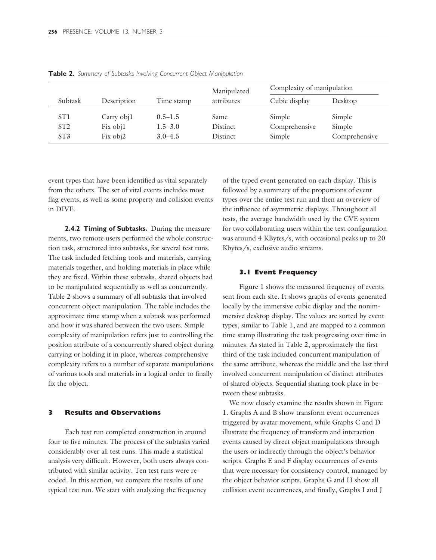|                 |             |             | Manipulated |               | Complexity of manipulation |  |
|-----------------|-------------|-------------|-------------|---------------|----------------------------|--|
| Subtask         | Description | Time stamp  | attributes  | Cubic display | Desktop                    |  |
| ST <sub>1</sub> | Carry obj1  | $0.5 - 1.5$ | Same        | Simple        | Simple                     |  |
| ST2             | Fix obj1    | $1.5 - 3.0$ | Distinct    | Comprehensive | Simple                     |  |
| ST <sub>3</sub> | Fix obj2    | $3.0 - 4.5$ | Distinct    | Simple        | Comprehensive              |  |

**Table 2.** *Summary of Subtasks Involving Concurrent Object Manipulation*

event types that have been identified as vital separately from the others. The set of vital events includes most flag events, as well as some property and collision events in DIVE.

**2.4.2 Timing of Subtasks.** During the measurements, two remote users performed the whole construction task, structured into subtasks, for several test runs. The task included fetching tools and materials, carrying materials together, and holding materials in place while they are fixed. Within these subtasks, shared objects had to be manipulated sequentially as well as concurrently. Table 2 shows a summary of all subtasks that involved concurrent object manipulation. The table includes the approximate time stamp when a subtask was performed and how it was shared between the two users. Simple complexity of manipulation refers just to controlling the position attribute of a concurrently shared object during carrying or holding it in place, whereas comprehensive complexity refers to a number of separate manipulations of various tools and materials in a logical order to finally fix the object.

#### **3 Results and Observations**

Each test run completed construction in around four to five minutes. The process of the subtasks varied considerably over all test runs. This made a statistical analysis very difficult. However, both users always contributed with similar activity. Ten test runs were recoded. In this section, we compare the results of one typical test run. We start with analyzing the frequency

of the typed event generated on each display. This is followed by a summary of the proportions of event types over the entire test run and then an overview of the influence of asymmetric displays. Throughout all tests, the average bandwidth used by the CVE system for two collaborating users within the test configuration was around 4 KBytes/s, with occasional peaks up to 20 Kbytes/s, exclusive audio streams.

#### **3.1 Event Frequency**

Figure 1 shows the measured frequency of events sent from each site. It shows graphs of events generated locally by the immersive cubic display and the nonimmersive desktop display. The values are sorted by event types, similar to Table 1, and are mapped to a common time stamp illustrating the task progressing over time in minutes. As stated in Table 2, approximately the first third of the task included concurrent manipulation of the same attribute, whereas the middle and the last third involved concurrent manipulation of distinct attributes of shared objects. Sequential sharing took place in between these subtasks.

We now closely examine the results shown in Figure 1. Graphs A and B show transform event occurrences triggered by avatar movement, while Graphs C and D illustrate the frequency of transform and interaction events caused by direct object manipulations through the users or indirectly through the object's behavior scripts. Graphs E and F display occurrences of events that were necessary for consistency control, managed by the object behavior scripts. Graphs G and H show all collision event occurrences, and finally, Graphs I and J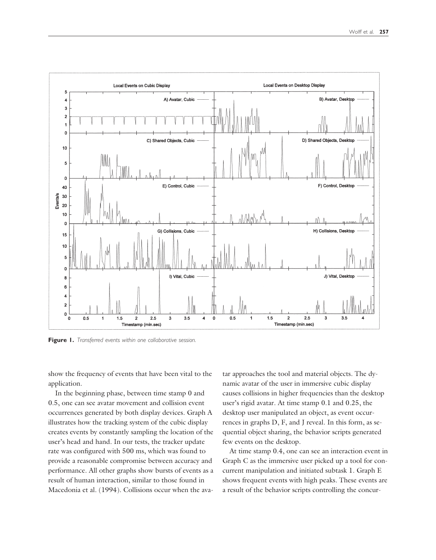

**Figure 1.** *Transferred events within one collaborative session.*

show the frequency of events that have been vital to the application.

In the beginning phase, between time stamp 0 and 0.5, one can see avatar movement and collision event occurrences generated by both display devices. Graph A illustrates how the tracking system of the cubic display creates events by constantly sampling the location of the user's head and hand. In our tests, the tracker update rate was configured with 500 ms, which was found to provide a reasonable compromise between accuracy and performance. All other graphs show bursts of events as a result of human interaction, similar to those found in Macedonia et al. (1994). Collisions occur when the avatar approaches the tool and material objects. The dynamic avatar of the user in immersive cubic display causes collisions in higher frequencies than the desktop user's rigid avatar. At time stamp 0.1 and 0.25, the desktop user manipulated an object, as event occurrences in graphs D, F, and J reveal. In this form, as sequential object sharing, the behavior scripts generated few events on the desktop.

At time stamp 0.4, one can see an interaction event in Graph C as the immersive user picked up a tool for concurrent manipulation and initiated subtask 1. Graph E shows frequent events with high peaks. These events are a result of the behavior scripts controlling the concur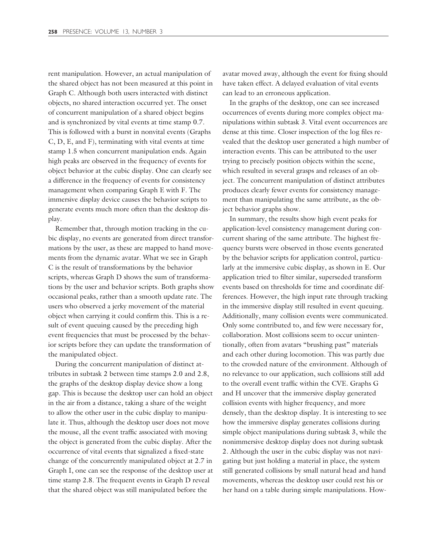rent manipulation. However, an actual manipulation of the shared object has not been measured at this point in Graph C. Although both users interacted with distinct objects, no shared interaction occurred yet. The onset of concurrent manipulation of a shared object begins and is synchronized by vital events at time stamp 0.7. This is followed with a burst in nonvital events (Graphs C, D, E, and F), terminating with vital events at time stamp 1.5 when concurrent manipulation ends. Again high peaks are observed in the frequency of events for object behavior at the cubic display. One can clearly see a difference in the frequency of events for consistency management when comparing Graph E with F. The immersive display device causes the behavior scripts to generate events much more often than the desktop display.

Remember that, through motion tracking in the cubic display, no events are generated from direct transformations by the user, as these are mapped to hand movements from the dynamic avatar. What we see in Graph C is the result of transformations by the behavior scripts, whereas Graph D shows the sum of transformations by the user and behavior scripts. Both graphs show occasional peaks, rather than a smooth update rate. The users who observed a jerky movement of the material object when carrying it could confirm this. This is a result of event queuing caused by the preceding high event frequencies that must be processed by the behavior scripts before they can update the transformation of the manipulated object.

During the concurrent manipulation of distinct attributes in subtask 2 between time stamps 2.0 and 2.8, the graphs of the desktop display device show a long gap. This is because the desktop user can hold an object in the air from a distance, taking a share of the weight to allow the other user in the cubic display to manipulate it. Thus, although the desktop user does not move the mouse, all the event traffic associated with moving the object is generated from the cubic display. After the occurrence of vital events that signalized a fixed-state change of the concurrently manipulated object at 2.7 in Graph I, one can see the response of the desktop user at time stamp 2.8. The frequent events in Graph D reveal that the shared object was still manipulated before the

avatar moved away, although the event for fixing should have taken effect. A delayed evaluation of vital events can lead to an erroneous application.

In the graphs of the desktop, one can see increased occurrences of events during more complex object manipulations within subtask 3. Vital event occurrences are dense at this time. Closer inspection of the log files revealed that the desktop user generated a high number of interaction events. This can be attributed to the user trying to precisely position objects within the scene, which resulted in several grasps and releases of an object. The concurrent manipulation of distinct attributes produces clearly fewer events for consistency management than manipulating the same attribute, as the object behavior graphs show.

In summary, the results show high event peaks for application-level consistency management during concurrent sharing of the same attribute. The highest frequency bursts were observed in those events generated by the behavior scripts for application control, particularly at the immersive cubic display, as shown in E. Our application tried to filter similar, superseded transform events based on thresholds for time and coordinate differences. However, the high input rate through tracking in the immersive display still resulted in event queuing. Additionally, many collision events were communicated. Only some contributed to, and few were necessary for, collaboration. Most collisions seem to occur unintentionally, often from avatars "brushing past" materials and each other during locomotion. This was partly due to the crowded nature of the environment. Although of no relevance to our application, such collisions still add to the overall event traffic within the CVE. Graphs G and H uncover that the immersive display generated collision events with higher frequency, and more densely, than the desktop display. It is interesting to see how the immersive display generates collisions during simple object manipulations during subtask 3, while the nonimmersive desktop display does not during subtask 2. Although the user in the cubic display was not navigating but just holding a material in place, the system still generated collisions by small natural head and hand movements, whereas the desktop user could rest his or her hand on a table during simple manipulations. How-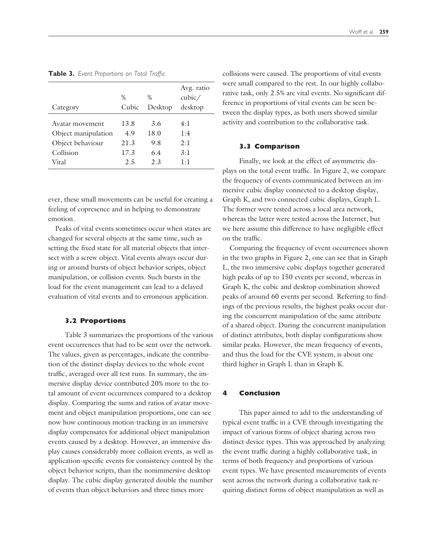| Category            | $\%$<br>Cubic | $\%$<br>Desktop | Avg. ratio<br>cubic/<br>desktop |
|---------------------|---------------|-----------------|---------------------------------|
| Avatar movement     | 13.8          | 3.6             | 4:1                             |
| Object manipulation | 4.9           | 18.0            | 1:4                             |
| Object behaviour    | 21.3          | 9.8             | 2:1                             |
| Collision           | 17.3          | 6.4             | 3:1                             |
| Vital               | 2.5           | 2.3             | $1 \cdot 1$                     |

**Table 3.** *Event Proportions on Total Traffic*

ever, these small movements can be useful for creating a feeling of copresence and in helping to demonstrate emotion.

Peaks of vital events sometimes occur when states are changed for several objects at the same time, such as setting the fixed state for all material objects that intersect with a screw object. Vital events always occur during or around bursts of object behavior scripts, object manipulation, or collision events. Such bursts in the load for the event management can lead to a delayed evaluation of vital events and to erroneous application.

#### **3.2 Proportions**

Table 3 summarizes the proportions of the various event occurrences that had to be sent over the network. The values, given as percentages, indicate the contribution of the distinct display devices to the whole event traffic, averaged over all test runs. In summary, the immersive display device contributed 20% more to the total amount of event occurrences compared to a desktop display. Comparing the sums and ratios of avatar movement and object manipulation proportions, one can see now how continuous motion-tracking in an immersive display compensates for additional object manipulation events caused by a desktop. However, an immersive display causes considerably more collision events, as well as application-specific events for consistency control by the object behavior scripts, than the nonimmersive desktop display. The cubic display generated double the number of events than object behaviors and three times more

collisions were caused. The proportions of vital events were small compared to the rest. In our highly collaborative task, only 2.5% are vital events. No significant difference in proportions of vital events can be seen between the display types, as both users showed similar activity and contribution to the collaborative task.

#### **3.3 Comparison**

Finally, we look at the effect of asymmetric displays on the total event traffic. In Figure 2, we compare the frequency of events communicated between an immersive cubic display connected to a desktop display, Graph K, and two connected cubic displays, Graph L. The former were tested across a local area network, whereas the latter were tested across the Internet, but we here assume this difference to have negligible effect on the traffic.

Comparing the frequency of event occurrences shown in the two graphs in Figure 2, one can see that in Graph L, the two immersive cubic displays together generated high peaks of up to 150 events per second, whereas in Graph K, the cubic and desktop combination showed peaks of around 60 events per second. Referring to findings of the previous results, the highest peaks occur during the concurrent manipulation of the same attribute of a shared object. During the concurrent manipulation of distinct attributes, both display configurations show similar peaks. However, the mean frequency of events, and thus the load for the CVE system, is about one third higher in Graph L than in Graph K.

## **4 Conclusion**

This paper aimed to add to the understanding of typical event traffic in a CVE through investigating the impact of various forms of object sharing across two distinct device types. This was approached by analyzing the event traffic during a highly collaborative task, in terms of both frequency and proportions of various event types. We have presented measurements of events sent across the network during a collaborative task requiring distinct forms of object manipulation as well as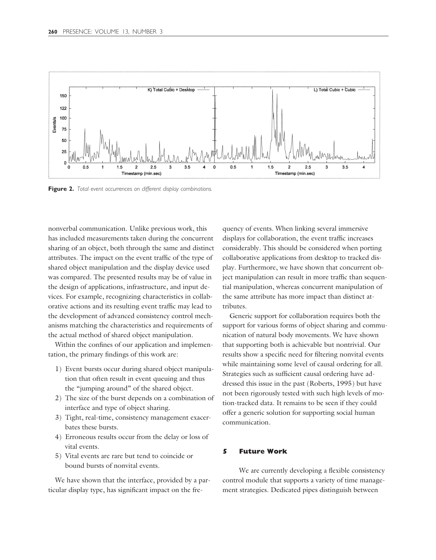

**Figure 2.** *Total event occurrences on different display combinations.*

nonverbal communication. Unlike previous work, this has included measurements taken during the concurrent sharing of an object, both through the same and distinct attributes. The impact on the event traffic of the type of shared object manipulation and the display device used was compared. The presented results may be of value in the design of applications, infrastructure, and input devices. For example, recognizing characteristics in collaborative actions and its resulting event traffic may lead to the development of advanced consistency control mechanisms matching the characteristics and requirements of the actual method of shared object manipulation.

Within the confines of our application and implementation, the primary findings of this work are:

- 1) Event bursts occur during shared object manipulation that often result in event queuing and thus the "jumping around" of the shared object.
- 2) The size of the burst depends on a combination of interface and type of object sharing.
- 3) Tight, real-time, consistency management exacerbates these bursts.
- 4) Erroneous results occur from the delay or loss of vital events.
- 5) Vital events are rare but tend to coincide or bound bursts of nonvital events.

We have shown that the interface, provided by a particular display type, has significant impact on the frequency of events. When linking several immersive displays for collaboration, the event traffic increases considerably. This should be considered when porting collaborative applications from desktop to tracked display. Furthermore, we have shown that concurrent object manipulation can result in more traffic than sequential manipulation, whereas concurrent manipulation of the same attribute has more impact than distinct attributes.

Generic support for collaboration requires both the support for various forms of object sharing and communication of natural body movements. We have shown that supporting both is achievable but nontrivial. Our results show a specific need for filtering nonvital events while maintaining some level of causal ordering for all. Strategies such as sufficient causal ordering have addressed this issue in the past (Roberts, 1995) but have not been rigorously tested with such high levels of motion-tracked data. It remains to be seen if they could offer a generic solution for supporting social human communication.

# **5 Future Work**

We are currently developing a flexible consistency control module that supports a variety of time management strategies. Dedicated pipes distinguish between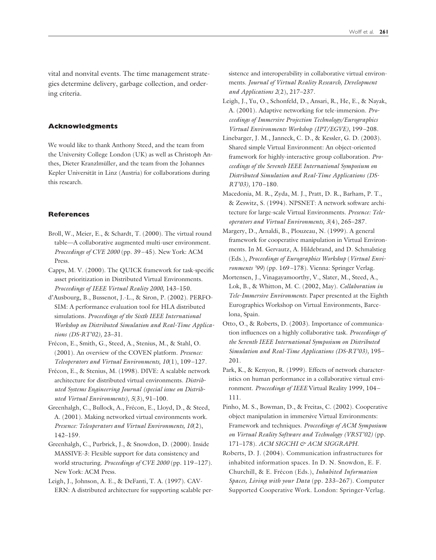vital and nonvital events. The time management strategies determine delivery, garbage collection, and ordering criteria.

#### **Acknowledgments**

We would like to thank Anthony Steed, and the team from the University College London (UK) as well as Christoph Anthes, Dieter Kranzlmüller, and the team from the Johannes Kepler Universität in Linz (Austria) for collaborations during this research.

#### **References**

- Broll, W., Meier, E., & Schardt, T. (2000). The virtual round table—A collaborative augmented multi-user environment. *Proceedings of CVE 2000* (pp. 39–45). New York: ACM Press.
- Capps, M. V. (2000). The QUICK framework for task-specific asset prioritization in Distributed Virtual Environments. *Proceedings of IEEE Virtual Reality 2000,* 143–150.
- d'Ausbourg, B., Bussenot, J.-L., & Siron, P. (2002). PERFO-SIM: A performance evaluation tool for HLA distributed simulations. *Proceedings of the Sixth IEEE International Workshop on Distributed Simulation and Real-Time Applications (DS-RT'02),* 23–31.
- Frécon, E., Smith, G., Steed, A., Stenius, M., & Stahl, O. (2001). An overview of the COVEN platform. *Presence: Teleoperators and Virtual Environments, 10*(1), 109–127.
- Frécon, E., & Stenius, M. (1998). DIVE: A scalable network architecture for distributed virtual environments. *Distributed Systems Engineering Journal (special issue on Distributed Virtual Environments), 5*(3), 91–100.
- Greenhalgh, C., Bullock, A., Frécon, E., Lloyd, D., & Steed, A. (2001). Making networked virtual environments work. *Presence: Teleoperators and Virtual Environments, 10*(2), 142–159.
- Greenhalgh, C., Purbrick, J., & Snowdon, D. (2000). Inside MASSIVE-3: Flexible support for data consistency and world structuring. *Proceedings of CVE 2000* (pp. 119–127). New York: ACM Press.
- Leigh, J., Johnson, A. E., & DeFanti, T. A. (1997). CAV-ERN: A distributed architecture for supporting scalable per-

sistence and interoperability in collaborative virtual environments. *Journal of Virtual Reality Research, Development and Applications 2*(2), 217–237.

- Leigh, J., Yu, O., Schonfeld, D., Ansari, R., He, E., & Nayak, A. (2001). Adaptive networking for tele-immersion. *Proceedings of Immersive Projection Technology/Eurographics Virtual Environments Workshop (IPT/EGVE),* 199–208.
- Linebarger, J. M., Janneck, C. D., & Kessler, G. D. (2003). Shared simple Virtual Environment: An object-oriented framework for highly-interactive group collaboration. *Proceedings of the Seventh IEEE International Symposium on Distributed Simulation and Real-Time Applications (DS-RT'03),* 170–180.
- Macedonia, M. R., Zyda, M. J., Pratt, D. R., Barham, P. T., & Zeswitz, S. (1994). NPSNET: A network software architecture for large-scale Virtual Environments. *Presence: Teleoperators and Virtual Environments, 3*(4), 265–287.
- Margery, D., Arnaldi, B., Plouzeau, N. (1999). A general framework for cooperative manipulation in Virtual Environments. In M. Gervautz, A. Hildebrand, and D. Schmalstieg (Eds.), *Proceedings of Eurographics Workshop* (*Virtual Environments '99*) (pp. 169–178). Vienna: Springer Verlag.
- Mortensen, J., Vinagayamoorthy, V., Slater, M., Steed, A., Lok, B., & Whitton, M. C. (2002, May). *Collaboration in Tele-Immersive Environments.* Paper presented at the Eighth Eurographics Workshop on Virtual Environments, Barcelona, Spain.
- Otto, O., & Roberts, D. (2003). Importance of communication influences on a highly collaborative task. *Proceedings of the Seventh IEEE International Symposium on Distributed Simulation and Real-Time Applications (DS-RT'03),* 195– 201.
- Park, K., & Kenyon, R. (1999). Effects of network characteristics on human performance in a collaborative virtual environment. *Proceedings of IEEE* Virtual Reality 1999, 104– 111.
- Pinho, M. S., Bowman, D., & Freitas, C. (2002). Cooperative object manipulation in immersive Virtual Environments: Framework and techniques. *Proceedings of ACM Symposium on Virtual Reality Software and Technology (VRST'02)* (pp. 171-178). ACM SIGCHI & ACM SIGGRAPH.
- Roberts, D. J. (2004). Communication infrastructures for inhabited information spaces. In D. N. Snowdon, E. F. Churchill, & E. Frécon (Eds.), *Inhabited Information Spaces, Living with your Data* (pp. 233–267). Computer Supported Cooperative Work. London: Springer-Verlag.